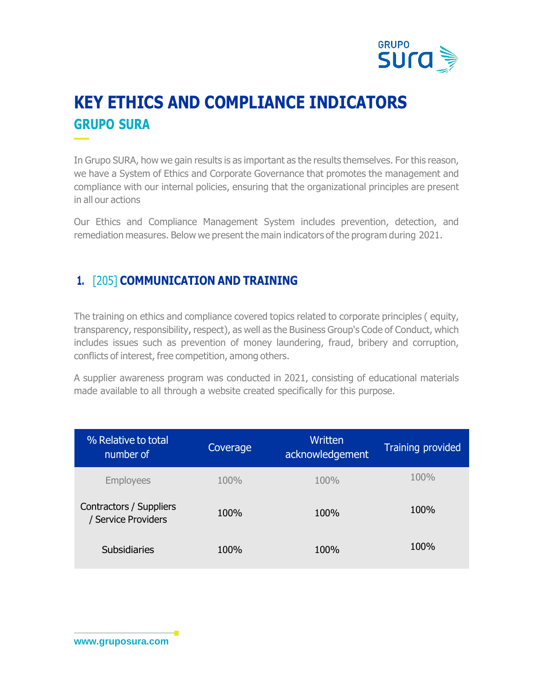

# **KEY ETHICS AND COMPLIANCE INDICATORS GRUPO SURA**

In Grupo SURA, how we gain results is as important as the results themselves. For this reason, we have a System of Ethics and Corporate Governance that promotes the management and compliance with our internal policies, ensuring that the organizational principles are present in all our actions

Our Ethics and Compliance Management System includes prevention, detection, and remediation measures. Below we present the main indicators of the program during 2021.

#### **1.** [205] **COMMUNICATION AND TRAINING**

The training on ethics and compliance covered topics related to corporate principles ( equity, transparency, responsibility, respect), as well as the Business Group's Code of Conduct, which includes issues such as prevention of money laundering, fraud, bribery and corruption, conflicts of interest, free competition, among others.

A supplier awareness program was conducted in 2021, consisting of educational materials made available to all through a website created specifically for this purpose.

| % Relative to total<br>number of               | Coverage | Written<br>acknowledgement | <b>Training provided</b> |
|------------------------------------------------|----------|----------------------------|--------------------------|
| <b>Employees</b>                               | 100%     | 100%                       | 100%                     |
| Contractors / Suppliers<br>/ Service Providers | 100%     | 100%                       | 100%                     |
| Subsidiaries                                   | 100%     | 100%                       | 100%                     |

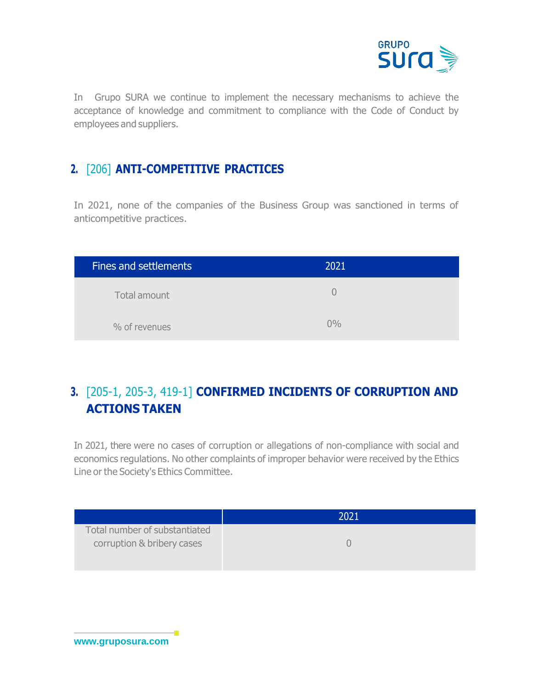

In Grupo SURA we continue to implement the necessary mechanisms to achieve the acceptance of knowledge and commitment to compliance with the Code of Conduct by employees and suppliers.

#### **2.** [206] **ANTI-COMPETITIVE PRACTICES**

In 2021, none of the companies of the Business Group was sanctioned in terms of anticompetitive practices.

| <b>Fines and settlements</b> | 2021  |
|------------------------------|-------|
| Total amount                 |       |
| % of revenues                | $0\%$ |

## **3.** [205-1, 205-3, 419-1] **CONFIRMED INCIDENTS OF CORRUPTION AND ACTIONS TAKEN**

In 2021, there were no cases of corruption or allegations of non-compliance with social and economics regulations. No other complaints of improper behavior were received by the Ethics Line or the Society's Ethics Committee.

|                               | 2021 |
|-------------------------------|------|
| Total number of substantiated |      |
| corruption & bribery cases    |      |
|                               |      |

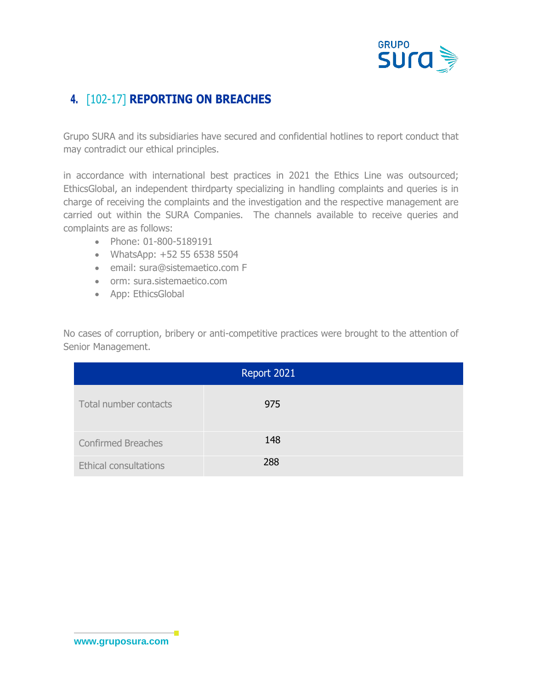

## **4.** [102-17] **REPORTING ON BREACHES**

Grupo SURA and its subsidiaries have secured and confidential hotlines to report conduct that may contradict our ethical principles.

in accordance with international best practices in 2021 the Ethics Line was outsourced; EthicsGlobal, an independent thirdparty specializing in handling complaints and queries is in charge of receiving the complaints and the investigation and the respective management are carried out within the SURA Companies. The channels available to receive queries and complaints are as follows:

- Phone: 01-800-5189191
- WhatsApp: +52 55 6538 5504
- email: sura@sistemaetico.com F
- orm: sura.sistemaetico.com
- App: EthicsGlobal

No cases of corruption, bribery or anti-competitive practices were brought to the attention of Senior Management.

| Report 2021                  |     |  |  |  |
|------------------------------|-----|--|--|--|
| Total number contacts        | 975 |  |  |  |
| <b>Confirmed Breaches</b>    | 148 |  |  |  |
| <b>Ethical consultations</b> | 288 |  |  |  |

×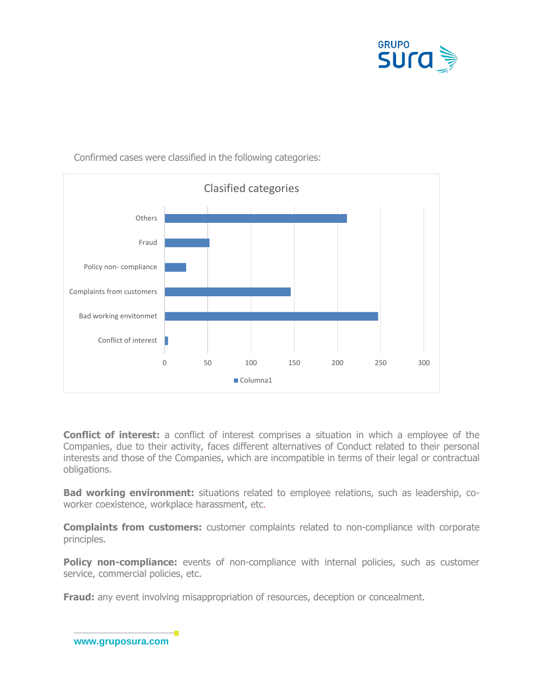



Confirmed cases were classified in the following categories:

**Conflict of interest:** a conflict of interest comprises a situation in which a employee of the Companies, due to their activity, faces different alternatives of Conduct related to their personal interests and those of the Companies, which are incompatible in terms of their legal or contractual obligations.

**Bad working environment:** situations related to employee relations, such as leadership, coworker coexistence, workplace harassment, etc.

**Complaints from customers:** customer complaints related to non-compliance with corporate principles.

**Policy non-compliance:** events of non-compliance with internal policies, such as customer service, commercial policies, etc.

**Fraud:** any event involving misappropriation of resources, deception or concealment.

**[www.gruposura.com](http://www.gruposura.com/)**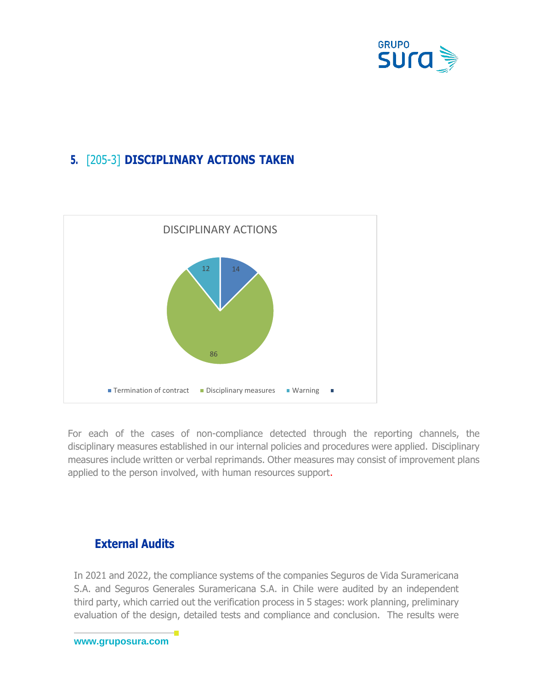

## **5.** [205-3] **DISCIPLINARY ACTIONS TAKEN**



For each of the cases of non-compliance detected through the reporting channels, the disciplinary measures established in our internal policies and procedures were applied. Disciplinary measures include written or verbal reprimands. Other measures may consist of improvement plans applied to the person involved, with human resources support.

#### **External Audits**

In 2021 and 2022, the compliance systems of the companies Seguros de Vida Suramericana S.A. and Seguros Generales Suramericana S.A. in Chile were audited by an independent third party, which carried out the verification process in 5 stages: work planning, preliminary evaluation of the design, detailed tests and compliance and conclusion. The results were